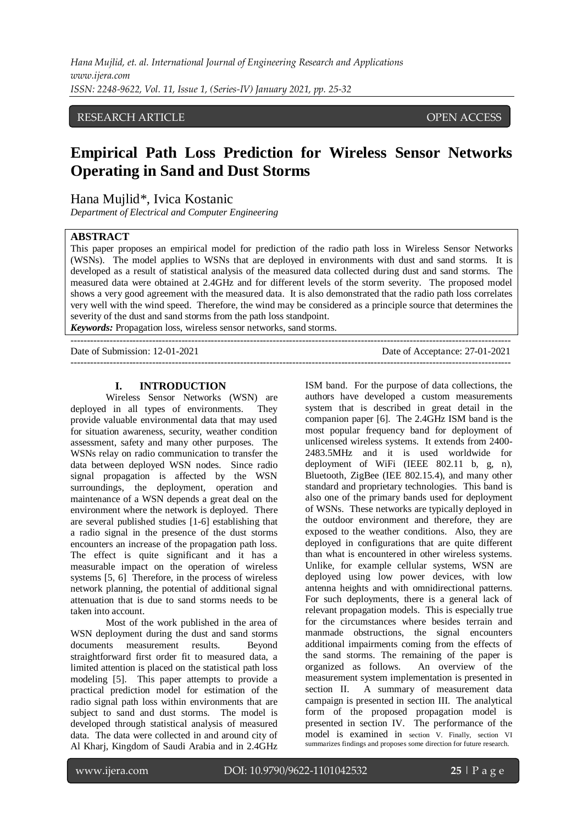## RESEARCH ARTICLE OPEN ACCESS

# **Empirical Path Loss Prediction for Wireless Sensor Networks Operating in Sand and Dust Storms**

Hana Mujlid\*, Ivica Kostanic

*Department of Electrical and Computer Engineering*

#### **ABSTRACT**

This paper proposes an empirical model for prediction of the radio path loss in Wireless Sensor Networks (WSNs). The model applies to WSNs that are deployed in environments with dust and sand storms. It is developed as a result of statistical analysis of the measured data collected during dust and sand storms. The measured data were obtained at 2.4GHz and for different levels of the storm severity. The proposed model shows a very good agreement with the measured data. It is also demonstrated that the radio path loss correlates very well with the wind speed. Therefore, the wind may be considered as a principle source that determines the severity of the dust and sand storms from the path loss standpoint.

*Keywords:* Propagation loss, wireless sensor networks, sand storms. ---------------------------------------------------------------------------------------------------------------------------------------

Date of Submission: 12-01-2021 Date of Acceptance: 27-01-2021 ---------------------------------------------------------------------------------------------------------------------------------------

#### **I. INTRODUCTION**

Wireless Sensor Networks (WSN) are deployed in all types of environments. They provide valuable environmental data that may used for situation awareness, security, weather condition assessment, safety and many other purposes. The WSNs relay on radio communication to transfer the data between deployed WSN nodes. Since radio signal propagation is affected by the WSN surroundings, the deployment, operation and maintenance of a WSN depends a great deal on the environment where the network is deployed. There are several published studies [1-6] establishing that a radio signal in the presence of the dust storms encounters an increase of the propagation path loss. The effect is quite significant and it has a measurable impact on the operation of wireless systems [5, 6] Therefore, in the process of wireless network planning, the potential of additional signal attenuation that is due to sand storms needs to be taken into account.

Most of the work published in the area of WSN deployment during the dust and sand storms documents measurement results. Beyond straightforward first order fit to measured data, a limited attention is placed on the statistical path loss modeling [5]. This paper attempts to provide a practical prediction model for estimation of the radio signal path loss within environments that are subject to sand and dust storms. The model is developed through statistical analysis of measured data. The data were collected in and around city of Al Kharj, Kingdom of Saudi Arabia and in 2.4GHz ISM band. For the purpose of data collections, the authors have developed a custom measurements system that is described in great detail in the companion paper [6]. The 2.4GHz ISM band is the most popular frequency band for deployment of unlicensed wireless systems. It extends from 2400- 2483.5MHz and it is used worldwide for deployment of WiFi (IEEE 802.11 b, g, n), Bluetooth, ZigBee (IEE 802.15.4), and many other standard and proprietary technologies. This band is also one of the primary bands used for deployment of WSNs. These networks are typically deployed in the outdoor environment and therefore, they are exposed to the weather conditions. Also, they are deployed in configurations that are quite different than what is encountered in other wireless systems. Unlike, for example cellular systems, WSN are deployed using low power devices, with low antenna heights and with omnidirectional patterns. For such deployments, there is a general lack of relevant propagation models. This is especially true for the circumstances where besides terrain and manmade obstructions, the signal encounters additional impairments coming from the effects of the sand storms. The remaining of the paper is organized as follows. An overview of the measurement system implementation is presented in section II. A summary of measurement data campaign is presented in section III. The analytical form of the proposed propagation model is presented in section IV. The performance of the model is examined in section V. Finally, section VI summarizes findings and proposes some direction for future research.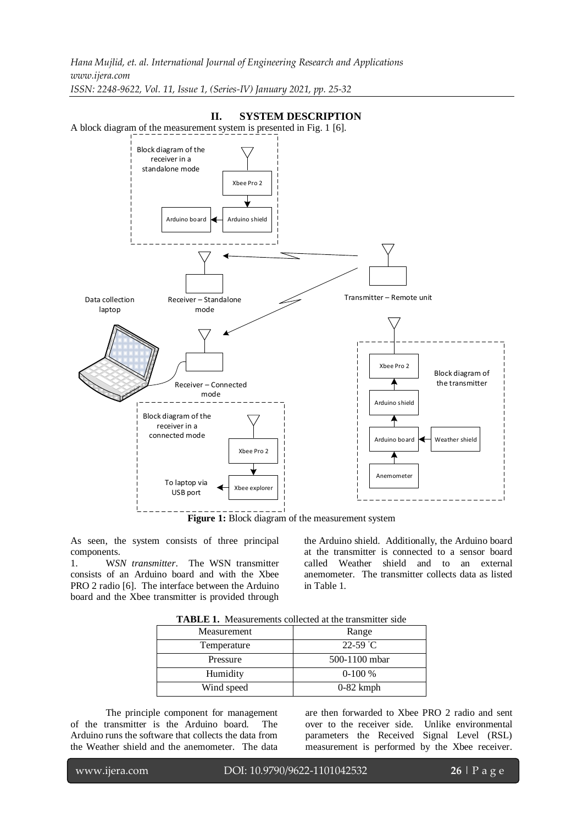*Hana Mujlid, et. al. International Journal of Engineering Research and Applications www.ijera.com ISSN: 2248-9622, Vol. 11, Issue 1, (Series-IV) January 2021, pp. 25-32*

## A block diagram of the measurement system is presented in Fig. 1 [6]. Receiver – Standalone Transmitter – Remote unit mode Receiver – Connected mode Xbee Pro 2 Arduino shield Arduino board  $\leftarrow$  Weather shield Anemometer Block diagram of the transmitter Xbee Pro 2 Arduino board  $\leftarrow$  Arduino shield Block diagram of the receiver in a standalone mode Xbee Pro 2 Xbee explorer Block diagram of the receiver in a connected mode To laptop via USB port Data collection lanton

**II. SYSTEM DESCRIPTION**

Figure 1: Block diagram of the measurement system

As seen, the system consists of three principal components.

1. W*SN transmitter*. The WSN transmitter consists of an Arduino board and with the Xbee PRO 2 radio [6]. The interface between the Arduino board and the Xbee transmitter is provided through the Arduino shield. Additionally, the Arduino board at the transmitter is connected to a sensor board called Weather shield and to an external anemometer. The transmitter collects data as listed in Table 1.

|  | <b>TABLE 1.</b> Measurements collected at the transmitter side |
|--|----------------------------------------------------------------|
|  |                                                                |

| Measurement | Range         |  |
|-------------|---------------|--|
| Temperature | $22 - 59$ °C  |  |
| Pressure    | 500-1100 mbar |  |
| Humidity    | $0-100%$      |  |
| Wind speed  | $0-82$ kmph   |  |

The principle component for management of the transmitter is the Arduino board. The Arduino runs the software that collects the data from the Weather shield and the anemometer. The data

are then forwarded to Xbee PRO 2 radio and sent over to the receiver side. Unlike environmental parameters the Received Signal Level (RSL) measurement is performed by the Xbee receiver.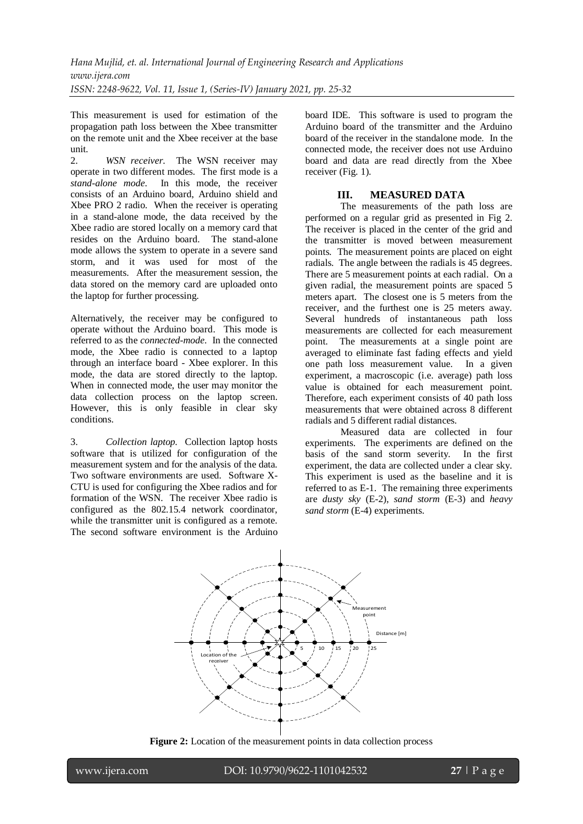This measurement is used for estimation of the propagation path loss between the Xbee transmitter on the remote unit and the Xbee receiver at the base unit.

2. *WSN receiver*. The WSN receiver may operate in two different modes. The first mode is a *stand-alone mode*. In this mode, the receiver consists of an Arduino board, Arduino shield and Xbee PRO 2 radio. When the receiver is operating in a stand-alone mode, the data received by the Xbee radio are stored locally on a memory card that resides on the Arduino board. The stand-alone mode allows the system to operate in a severe sand storm, and it was used for most of the measurements. After the measurement session, the data stored on the memory card are uploaded onto the laptop for further processing.

Alternatively, the receiver may be configured to operate without the Arduino board. This mode is referred to as the *connected-mode*. In the connected mode, the Xbee radio is connected to a laptop through an interface board - Xbee explorer. In this mode, the data are stored directly to the laptop. When in connected mode, the user may monitor the data collection process on the laptop screen. However, this is only feasible in clear sky conditions.

3. *Collection laptop.* Collection laptop hosts software that is utilized for configuration of the measurement system and for the analysis of the data. Two software environments are used. Software X-CTU is used for configuring the Xbee radios and for formation of the WSN. The receiver Xbee radio is configured as the 802.15.4 network coordinator, while the transmitter unit is configured as a remote. The second software environment is the Arduino board IDE. This software is used to program the Arduino board of the transmitter and the Arduino board of the receiver in the standalone mode. In the connected mode, the receiver does not use Arduino board and data are read directly from the Xbee receiver (Fig. 1).

## **III. MEASURED DATA**

The measurements of the path loss are performed on a regular grid as presented in Fig 2. The receiver is placed in the center of the grid and the transmitter is moved between measurement points. The measurement points are placed on eight radials. The angle between the radials is 45 degrees. There are 5 measurement points at each radial. On a given radial, the measurement points are spaced 5 meters apart. The closest one is 5 meters from the receiver, and the furthest one is 25 meters away. Several hundreds of instantaneous path loss measurements are collected for each measurement point. The measurements at a single point are averaged to eliminate fast fading effects and yield one path loss measurement value. In a given experiment, a macroscopic (i.e. average) path loss value is obtained for each measurement point. Therefore, each experiment consists of 40 path loss measurements that were obtained across 8 different radials and 5 different radial distances.

Measured data are collected in four experiments. The experiments are defined on the basis of the sand storm severity. In the first experiment, the data are collected under a clear sky. This experiment is used as the baseline and it is referred to as E-1. The remaining three experiments are *dusty sky* (E-2), *sand storm* (E-3) and *heavy sand storm* (E-4) experiments.



**Figure 2:** Location of the measurement points in data collection process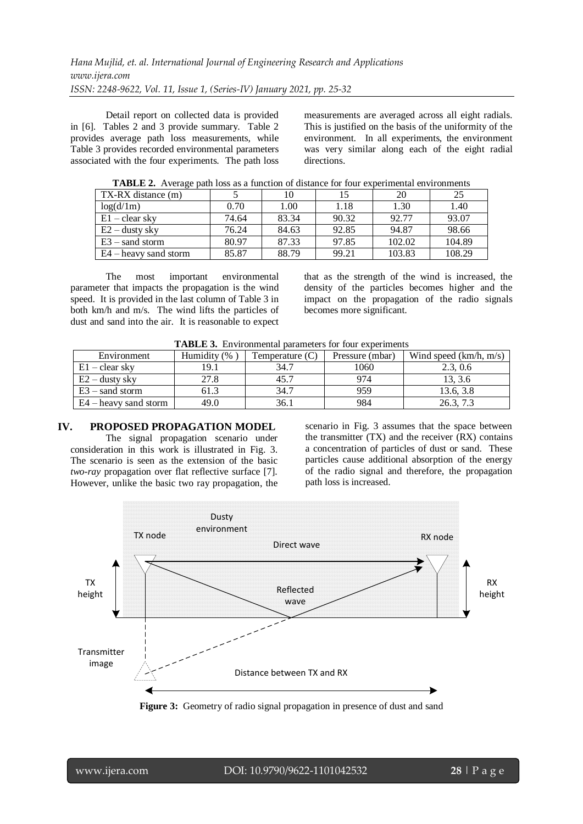Detail report on collected data is provided in [6]. Tables 2 and 3 provide summary. Table 2 provides average path loss measurements, while Table 3 provides recorded environmental parameters associated with the four experiments. The path loss measurements are averaged across all eight radials. This is justified on the basis of the uniformity of the environment. In all experiments, the environment was very similar along each of the eight radial directions.

| <u>xias sis at the competition of the content of contents for four experimental entirely continued</u> |       |       |       |        |        |  |
|--------------------------------------------------------------------------------------------------------|-------|-------|-------|--------|--------|--|
| TX-RX distance (m)                                                                                     |       |       |       | 20     |        |  |
| log(d/1m)                                                                                              | 0.70  | 1.00  | 1.18  | 1.30   | 1.40   |  |
| $E1 - clear$ sky                                                                                       | 74.64 | 83.34 | 90.32 | 92.77  | 93.07  |  |
| $E2$ – dusty sky                                                                                       | 76.24 | 84.63 | 92.85 | 94.87  | 98.66  |  |
| $E3$ – sand storm                                                                                      | 80.97 | 87.33 | 97.85 | 102.02 | 104.89 |  |
| E4 – heavy sand storm                                                                                  | 85.87 | 88.79 | 99.21 | 103.83 | 108.29 |  |

**TABLE 2.** Average path loss as a function of distance for four experimental environments

The most important environmental parameter that impacts the propagation is the wind speed. It is provided in the last column of Table 3 in both km/h and m/s. The wind lifts the particles of dust and sand into the air. It is reasonable to expect

that as the strength of the wind is increased, the density of the particles becomes higher and the impact on the propagation of the radio signals becomes more significant.

| Environment             | Humidity (% | Temperature (C) | Pressure (mbar) | Wind speed $(km/h, m/s)$ |
|-------------------------|-------------|-----------------|-----------------|--------------------------|
| $E1 - clear$ sky        | 19.1        | 34.7            | 1060            | 2.3.0.6                  |
| $E2 -$ dusty sky        | 27.8        | 45.7            | 974             | 13, 3.6                  |
| $E3$ – sand storm       | 61.3        | 34.7            | 959             | 13.6, 3.8                |
| $E4$ – heavy sand storm | 49.0        | 36.             | 984             | 26.3,                    |

| <b>TABLE 3.</b> Environmental parameters for four experiments |  |  |  |  |
|---------------------------------------------------------------|--|--|--|--|
|---------------------------------------------------------------|--|--|--|--|

## **IV. PROPOSED PROPAGATION MODEL**

The signal propagation scenario under consideration in this work is illustrated in Fig. 3. The scenario is seen as the extension of the basic *two-ray* propagation over flat reflective surface [7]. However, unlike the basic two ray propagation, the scenario in Fig. 3 assumes that the space between the transmitter  $(TX)$  and the receiver  $(RX)$  contains a concentration of particles of dust or sand. These particles cause additional absorption of the energy of the radio signal and therefore, the propagation path loss is increased.



**Figure 3:** Geometry of radio signal propagation in presence of dust and sand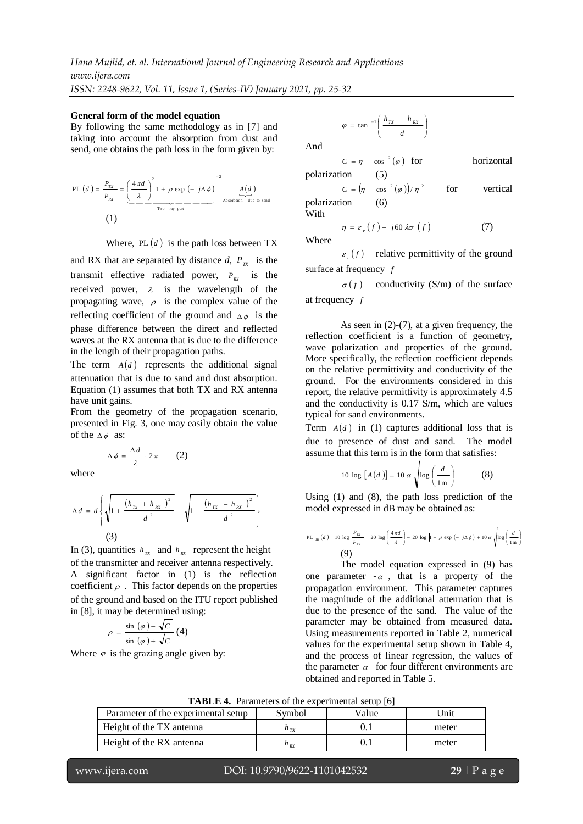*Hana Mujlid, et. al. International Journal of Engineering Research and Applications www.ijera.com*

*ISSN: 2248-9622, Vol. 11, Issue 1, (Series-IV) January 2021, pp. 25-32*

#### **General form of the model equation**

By following the same methodology as in [7] and taking into account the absorption from dust and send, one obtains the path loss in the form given by:

PL (d) = 
$$
\frac{P_{Tx}}{P_{RX}} = \left(\frac{4\pi d}{\lambda}\right)^2 \left|1 + \rho \exp\left(-j\Delta\phi\right)\right|^{2}
$$
  
\nTwo-ray part\n
$$
\frac{A(d)}{\lambda}
$$
\n  
\n(1)

Where,  $PL(d)$  is the path loss between TX

and RX that are separated by distance  $d$ ,  $P_{\text{rx}}$  is the transmit effective radiated power,  $P_{\text{rx}}$  is the received power,  $\lambda$  is the wavelength of the propagating wave,  $\rho$  is the complex value of the reflecting coefficient of the ground and  $\Delta \phi$  is the phase difference between the direct and reflected waves at the RX antenna that is due to the difference in the length of their propagation paths.

The term  $A(d)$  represents the additional signal attenuation that is due to sand and dust absorption. Equation (1) assumes that both TX and RX antenna have unit gains.

From the geometry of the propagation scenario, presented in Fig. 3, one may easily obtain the value of the  $\Delta \phi$  as:

$$
\Delta \phi = \frac{\Delta d}{\lambda} \cdot 2\pi \qquad (2)
$$

where

$$
\Delta d = d \left\{ \sqrt{1 + \frac{(h_{Tx} + h_{RX})^2}{d^2}} - \sqrt{1 + \frac{(h_{TX} - h_{RX})^2}{d^2}} \right\}
$$
\n(3)

In (3), quantities  $h_{rx}$  and  $h_{rx}$  represent the height of the transmitter and receiver antenna respectively. A significant factor in (1) is the reflection coefficient  $\rho$ . This factor depends on the properties of the ground and based on the ITU report published in [8], it may be determined using:

$$
\rho = \frac{\sin (\varphi) - \sqrt{C}}{\sin (\varphi) + \sqrt{C}} (4)
$$

Where  $\varphi$  is the grazing angle given by:

$$
\varphi = \tan^{-1}\left(\frac{h_{TX} + h_{RX}}{d}\right)
$$

And

$$
C = \eta - \cos^{-2}(\varphi) \quad \text{for} \quad \text{horizontal}
$$

vertical

polarization (5)  
\n
$$
C = (\eta - \cos^{-2}(\varphi))/\eta^{2} \qquad \text{for}
$$

polarization (6) With

$$
\eta = \varepsilon_r(f) - j60 \lambda \sigma(f) \tag{7}
$$
 Where

 $\epsilon_r(f)$  relative permittivity of the ground surface at frequency *f*

 $\sigma(f)$ conductivity (S/m) of the surface at frequency *f*

As seen in (2)-(7), at a given frequency, the reflection coefficient is a function of geometry, wave polarization and properties of the ground. More specifically, the reflection coefficient depends on the relative permittivity and conductivity of the ground. For the environments considered in this report, the relative permittivity is approximately 4.5 and the conductivity is 0.17 S/m, which are values typical for sand environments.

Term  $A(d)$  in (1) captures additional loss that is due to presence of dust and sand. The model assume that this term is in the form that satisfies:

$$
10 \log [A(d)] = 10 \alpha \sqrt{\log \left(\frac{d}{1 \text{ m}}\right)} \tag{8}
$$

Using (1) and (8), the path loss prediction of the model expressed in dB may be obtained as:

PL <sub>dB</sub> (d) = 10 log 
$$
\frac{P_{rx}}{P_{gx}}
$$
 = 20 log  $\left(\frac{4\pi d}{\lambda}\right)$  - 20 log  $\left|1 + \rho \exp\left(-j\Delta\phi\right)\right| + 10 \alpha \sqrt{\log\left(\frac{d}{1m}\right)}$   
(9)

The model equation expressed in (9) has one parameter  $-\alpha$ , that is a property of the propagation environment. This parameter captures the magnitude of the additional attenuation that is due to the presence of the sand. The value of the parameter may be obtained from measured data. Using measurements reported in Table 2, numerical values for the experimental setup shown in Table 4, and the process of linear regression, the values of the parameter  $\alpha$  for four different environments are obtained and reported in Table 5.

|  | TABLE 4. Parameters of the experimental setup [6] |  |  |  |  |
|--|---------------------------------------------------|--|--|--|--|
|--|---------------------------------------------------|--|--|--|--|

| Parameter of the experimental setup | Symbol          | Value | Unit) |
|-------------------------------------|-----------------|-------|-------|
| Height of the TX antenna            | $\mu_{\tau\nu}$ |       | meter |
| Height of the RX antenna            | $\frac{\mu}{R}$ |       | meter |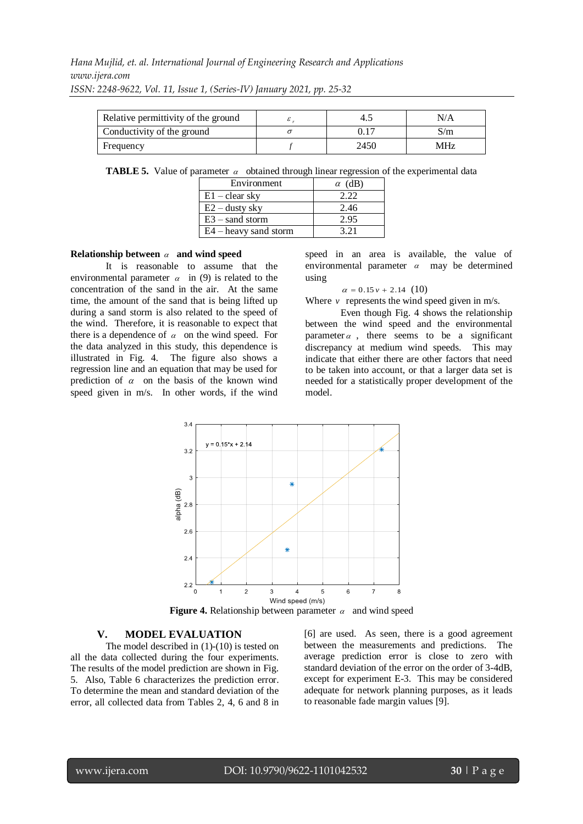| Relative permittivity of the ground |      | N/A |
|-------------------------------------|------|-----|
| Conductivity of the ground          |      | S/m |
| Frequency                           | 2450 | MHz |

**TABLE 5.** Value of parameter  $\alpha$  obtained through linear regression of the experimental data

| Environment             | $\alpha$ (dB) |
|-------------------------|---------------|
| $E1 - clear$ sky        | 2.22          |
| $E2 -$ dusty sky        | 2.46          |
| $E3 -$ sand storm       | 2.95          |
| $E4$ – heavy sand storm | 3.21          |

#### **Relationship between**  $\alpha$  **and wind speed**

It is reasonable to assume that the environmental parameter  $\alpha$  in (9) is related to the concentration of the sand in the air. At the same time, the amount of the sand that is being lifted up during a sand storm is also related to the speed of the wind. Therefore, it is reasonable to expect that there is a dependence of  $\alpha$  on the wind speed. For the data analyzed in this study, this dependence is illustrated in Fig. 4. The figure also shows a regression line and an equation that may be used for prediction of  $\alpha$  on the basis of the known wind speed given in m/s. In other words, if the wind

speed in an area is available, the value of environmental parameter  $\alpha$  may be determined using

#### $\alpha = 0.15 v + 2.14 (10)$

Where  $\nu$  represents the wind speed given in m/s.

Even though Fig. 4 shows the relationship between the wind speed and the environmental parameter  $\alpha$ , there seems to be a significant discrepancy at medium wind speeds. This may indicate that either there are other factors that need to be taken into account, or that a larger data set is needed for a statistically proper development of the model.



**Figure 4.** Relationship between parameter  $\alpha$  and wind speed

## **V. MODEL EVALUATION**

The model described in (1)-(10) is tested on all the data collected during the four experiments. The results of the model prediction are shown in Fig. 5. Also, Table 6 characterizes the prediction error. To determine the mean and standard deviation of the error, all collected data from Tables 2, 4, 6 and 8 in

[6] are used. As seen, there is a good agreement between the measurements and predictions. The average prediction error is close to zero with standard deviation of the error on the order of 3-4dB, except for experiment E-3. This may be considered adequate for network planning purposes, as it leads to reasonable fade margin values [9].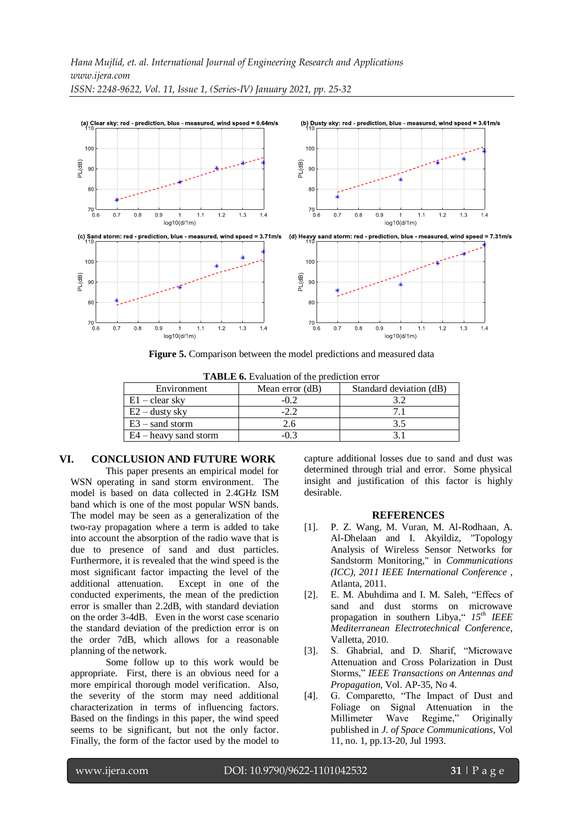

**Figure 5.** Comparison between the model predictions and measured data

| <b>IADLE 0.</b> EValuation of the prediction error |                 |                         |  |  |
|----------------------------------------------------|-----------------|-------------------------|--|--|
| Environment                                        | Mean error (dB) | Standard deviation (dB) |  |  |
| $E1 - clear$ sky                                   | $-0.2$          |                         |  |  |
| $E2 -$ dusty sky                                   | $-2.2$          |                         |  |  |
| $E3$ – sand storm                                  | 2.6             | 3.5                     |  |  |
| $E4$ – heavy sand storm                            |                 |                         |  |  |

#### **TABLE 6.** Evaluation of the prediction error

## **VI. CONCLUSION AND FUTURE WORK**

This paper presents an empirical model for WSN operating in sand storm environment. The model is based on data collected in 2.4GHz ISM band which is one of the most popular WSN bands. The model may be seen as a generalization of the two-ray propagation where a term is added to take into account the absorption of the radio wave that is due to presence of sand and dust particles. Furthermore, it is revealed that the wind speed is the most significant factor impacting the level of the additional attenuation. Except in one of the conducted experiments, the mean of the prediction error is smaller than 2.2dB, with standard deviation on the order 3-4dB. Even in the worst case scenario the standard deviation of the prediction error is on the order 7dB, which allows for a reasonable planning of the network.

Some follow up to this work would be appropriate. First, there is an obvious need for a more empirical thorough model verification. Also, the severity of the storm may need additional characterization in terms of influencing factors. Based on the findings in this paper, the wind speed seems to be significant, but not the only factor. Finally, the form of the factor used by the model to

capture additional losses due to sand and dust was determined through trial and error. Some physical insight and justification of this factor is highly desirable.

#### **REFERENCES**

- [1]. P. Z. Wang, M. Vuran, M. Al-Rodhaan, A. Al-Dhelaan and I. Akyildiz, "Topology Analysis of Wireless Sensor Networks for Sandstorm Monitoring," in *Communications (ICC), 2011 IEEE International Conference* , Atlanta, 2011.
- [2]. E. M. Abuhdima and I. M. Saleh, "Effecs of sand and dust storms on microwave propagation in southern Libya," *15th IEEE Mediterranean Electrotechnical Conference*, Valletta, 2010.
- [3]. S. Ghabrial, and D. Sharif, "Microwave Attenuation and Cross Polarization in Dust Storms," *IEEE Transactions on Antennas and Propagation*, Vol. AP-35, No 4.
- [4]. G. Comparetto, "The Impact of Dust and Foliage on Signal Attenuation in the Millimeter Wave Regime," Originally published in *J. of Space Communications*, Vol 11, no. 1, pp.13-20, Jul 1993.